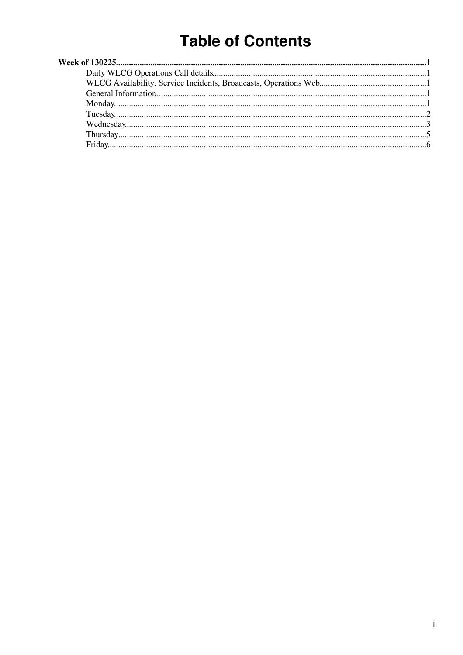# **Table of Contents**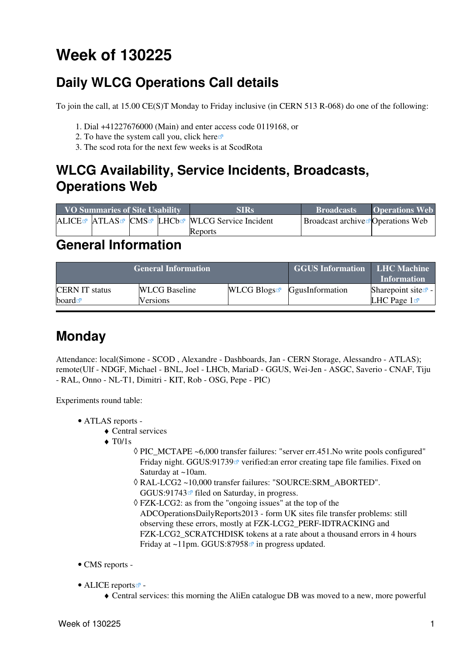# <span id="page-1-0"></span>**Week of 130225**

# <span id="page-1-1"></span>**Daily WLCG Operations Call details**

To join the call, at 15.00 CE(S)T Monday to Friday inclusive (in CERN 513 R-068) do one of the following:

- 1. Dial +41227676000 (Main) and enter access code 0119168, or
- 2. To have the system call you, click [here](https://audioconf.cern.ch/call/0119168) $\Phi$
- 3. The scod rota for the next few weeks is at [ScodRota](https://twiki.cern.ch/twiki/bin/view/LCG/ScodRota)

### <span id="page-1-2"></span>**WLCG Availability, Service Incidents, Broadcasts, Operations Web**

| <b>VO Summaries of Site Usability</b> |  |  | <b>SIRs</b>                                    | <b>Broadcasts</b>                             | <b>Operations Web</b> |
|---------------------------------------|--|--|------------------------------------------------|-----------------------------------------------|-----------------------|
|                                       |  |  | ALICE® ATLAS® CMS® LHCb® WLCG Service Incident | Broadcast archive <sup>r</sup> Operations Web |                       |
|                                       |  |  | Reports                                        |                                               |                       |

### <span id="page-1-3"></span>**General Information**

|                       | <b>General Information</b> | <b>GGUS Information</b> | <b>LHC Machine</b><br><b>Information</b>  |                          |
|-----------------------|----------------------------|-------------------------|-------------------------------------------|--------------------------|
| <b>CERN IT status</b> | <b>WLCG Baseline</b>       |                         | WLCG Blogs $\blacksquare$ GgusInformation | Sharepoint site $\leq$ - |
| board $\blacksquare$  | Versions                   |                         |                                           | LHC Page $1\blacksquare$ |

# <span id="page-1-4"></span>**Monday**

Attendance: local(Simone - SCOD , Alexandre - Dashboards, Jan - CERN Storage, Alessandro - ATLAS); remote(Ulf - NDGF, Michael - BNL, Joel - LHCb, [MariaD](https://twiki.cern.ch/twiki/bin/edit/LCG/MariaD?topicparent=LCG.WLCGDailyMeetingsWeek130225;nowysiwyg=1) - GGUS, Wei-Jen - ASGC, Saverio - CNAF, Tiju - [RAL](https://twiki.cern.ch/twiki/bin/view/LCG/RAL), Onno - NL-T1, Dimitri - KIT, Rob - OSG, Pepe - PIC)

Experiments round table:

- ATLAS [reports](https://twiki.cern.ch/twiki/bin/view/Atlas/ADCOperationsDailyReports)  •
	- $\triangle$  Central services
	- $\triangleleft$  T<sub>0</sub> $/1$ s
		- PIC\_MCTAPE ~6,000 transfer failures: "server err.451.No write pools configured" ◊ Friday night. [GGUS:91739](https://ggus.eu/ws/ticket_info.php?ticket=91739)<sup>®</sup> verified: an error creating tape file families. Fixed on Saturday at ~10am.
		- [RAL-](https://twiki.cern.ch/twiki/bin/view/LCG/RAL)LCG2 ~10,000 transfer failures: "SOURCE:SRM\_ABORTED". ◊ GGUS:91743 $\vec{r}$  filed on Saturday, in progress.
		- FZK-LCG2: as from the "ongoing issues" at the top of the ◊ [ADCOperationsDailyReports2013](https://twiki.cern.ch/twiki/bin/edit/LCG/ADCOperationsDailyReports2013?topicparent=LCG.WLCGDailyMeetingsWeek130225;nowysiwyg=1) - form UK sites file transfer problems: still observing these errors, mostly at FZK-LCG2\_PERF-IDTRACKING and FZK-LCG2 SCRATCHDISK tokens at a rate about a thousand errors in 4 hours Friday at  $\sim$ 11pm. [GGUS:87958](https://ggus.eu/ws/ticket_info.php?ticket=87958) $\textdegree$  in progress updated.
- CMS [reports](https://twiki.cern.ch/twiki/bin/view/CMS/FacOps_WLCGdailyreports) -
- ALICE [reports](http://alien2.cern.ch/index.php?option=com_content&view=article&id=75&Itemid=129)
	- ♦ Central services: this morning the [AliEn](https://twiki.cern.ch/twiki/bin/edit/LCG/AliEn?topicparent=LCG.WLCGDailyMeetingsWeek130225;nowysiwyg=1) catalogue DB was moved to a new, more powerful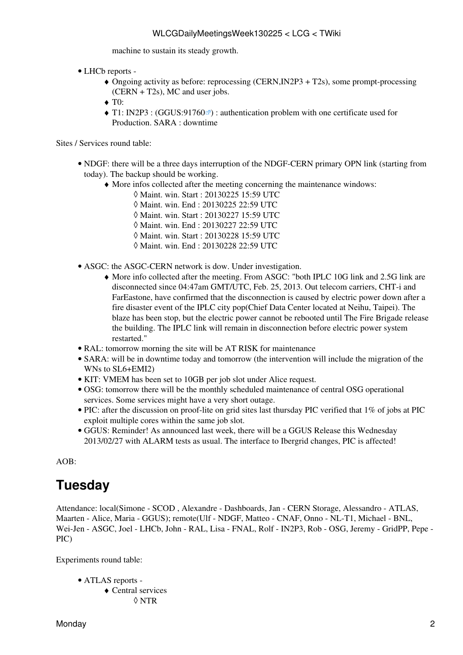machine to sustain its steady growth.

- LHCb [reports](https://twiki.cern.ch/twiki/bin/view/LHCb/ProductionOperationsWLCGdailyReports)  •
	- Ongoing activity as before: reprocessing (CERN,IN2P3 + T2s), some prompt-processing ♦ (CERN + T2s), MC and user jobs.
	- $\triangleleft$  T $\ddot{\text{o}}$ :
	- T1: [IN2P3](https://twiki.cern.ch/twiki/bin/view/LCG/IN2P3) : ([GGUS:91760](https://ggus.eu/ws/ticket_info.php?ticket=91760)<sup> $\alpha$ </sup>) : authentication problem with one certificate used for Production. SARA : downtime

#### Sites / Services round table:

- NDGF: there will be a three days interruption of the NDGF-CERN primary OPN link (starting from today). The backup should be working.
	- More infos collected after the meeting concerning the maintenance windows: ♦
		- ◊ Maint. win. Start : 20130225 15:59 UTC
		- ◊ Maint. win. End : 20130225 22:59 UTC
		- ◊ Maint. win. Start : 20130227 15:59 UTC
		- ◊ Maint. win. End : 20130227 22:59 UTC
		- ◊ Maint. win. Start : 20130228 15:59 UTC
		- ◊ Maint. win. End : 20130228 22:59 UTC
- ASGC: the ASGC-CERN network is dow. Under investigation.
	- More info collected after the meeting. From ASGC: "both IPLC 10G link and 2.5G link are ♦ disconnected since 04:47am GMT/UTC, Feb. 25, 2013. Out telecom carriers, CHT-i and [FarEastone,](https://twiki.cern.ch/twiki/bin/edit/LCG/FarEastone?topicparent=LCG.WLCGDailyMeetingsWeek130225;nowysiwyg=1) have confirmed that the disconnection is caused by electric power down after a fire disaster event of the IPLC city pop(Chief Data Center located at Neihu, Taipei). The blaze has been stop, but the electric power cannot be rebooted until The Fire Brigade release the building. The IPLC link will remain in disconnection before electric power system restarted."
- [RAL](https://twiki.cern.ch/twiki/bin/view/LCG/RAL): tomorrow morning the site will be AT RISK for maintenance
- SARA: will be in downtime today and tomorrow (the intervention will include the migration of the WNs to SL6+EMI2)
- KIT: VMEM has been set to 10GB per job slot under Alice request.
- OSG: tomorrow there will be the monthly scheduled maintenance of central OSG operational services. Some services might have a very short outage.
- PIC: after the discussion on proof-lite on grid sites last thursday PIC verified that 1% of jobs at PIC exploit multiple cores within the same job slot.
- GGUS: Reminder! As announced last week, there will be a GGUS Release this Wednesday 2013/02/27 with ALARM tests as usual. The interface to Ibergrid changes, PIC is affected!

 $AOB<sup>2</sup>$ 

### <span id="page-2-0"></span>**Tuesday**

Attendance: local(Simone - SCOD , Alexandre - Dashboards, Jan - CERN Storage, Alessandro - ATLAS, Maarten - Alice, Maria - GGUS); remote(Ulf - NDGF, Matteo - CNAF, Onno - NL-T1, Michael - BNL, Wei-Jen - ASGC, Joel - LHCb, John - [RAL](https://twiki.cern.ch/twiki/bin/view/LCG/RAL), Lisa - FNAL, Rolf - [IN2P3,](https://twiki.cern.ch/twiki/bin/view/LCG/IN2P3) Rob - OSG, Jeremy - [GridPP,](https://twiki.cern.ch/twiki/bin/view/LCG/GridPP) Pepe - PIC)

Experiments round table:

- ATLAS [reports](https://twiki.cern.ch/twiki/bin/view/Atlas/ADCOperationsDailyReports)  •
	- Central services ♦ ◊ NTR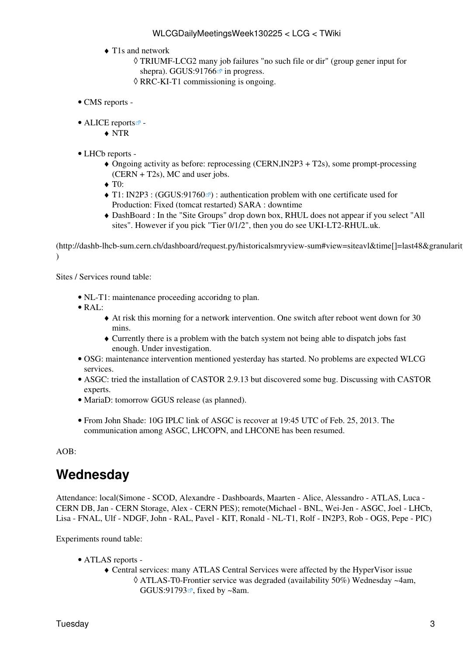- T1s and network ♦
	- TRIUMF-LCG2 many job failures "no such file or dir" (group gener input for ◊ shepra). GGUS:91766 $\Phi$  in progress.
	- ◊ RRC-KI-T1 commissioning is ongoing.
- CMS [reports](https://twiki.cern.ch/twiki/bin/view/CMS/FacOps_WLCGdailyreports) -
- ALICE [reports](http://alien2.cern.ch/index.php?option=com_content&view=article&id=75&Itemid=129)<sup>2</sup>
	- ♦ NTR
- LHCb [reports](https://twiki.cern.ch/twiki/bin/view/LHCb/ProductionOperationsWLCGdailyReports) -
	- Ongoing activity as before: reprocessing (CERN,IN2P3 + T2s), some prompt-processing ♦ (CERN + T2s), MC and user jobs.
	- $\triangleleft$  T $\ddot{\text{o}}$ :
	- T1: [IN2P3](https://twiki.cern.ch/twiki/bin/view/LCG/IN2P3) : ([GGUS:91760](https://ggus.eu/ws/ticket_info.php?ticket=91760)<sup>®</sup>) : authentication problem with one certificate used for Production: Fixed (tomcat restarted) SARA : downtime
	- [DashBoard](https://twiki.cern.ch/twiki/bin/edit/LCG/DashBoard?topicparent=LCG.WLCGDailyMeetingsWeek130225;nowysiwyg=1) : In the "Site Groups" drop down box, RHUL does not appear if you select "All ♦ sites". However if you pick "Tier 0/1/2", then you do see UKI-LT2-RHUL.uk.

 $(\text{http://dashb://dashb-hcb-sum.cern.ch/dashboard/request.py/historicalsmyview-sum#view=siteavl&time[]=last48&gramularit$  $\lambda$ 

Sites / Services round table:

- NL-T1: maintenance proceeding accoridng to plan.
- [RAL:](https://twiki.cern.ch/twiki/bin/view/LCG/RAL)
	- At risk this morning for a network intervention. One switch after reboot went down for 30 ♦ mins.
	- Currently there is a problem with the batch system not being able to dispatch jobs fast ♦ enough. Under investigation.
- OSG: maintenance intervention mentioned yesterday has started. No problems are expected WLCG services.
- ASGC: tried the installation of CASTOR 2.9.13 but discovered some bug. Discussing with CASTOR experts.
- [MariaD](https://twiki.cern.ch/twiki/bin/edit/LCG/MariaD?topicparent=LCG.WLCGDailyMeetingsWeek130225;nowysiwyg=1): tomorrow GGUS release (as planned).
- From John Shade: 10G IPLC link of ASGC is recover at 19:45 UTC of Feb. 25, 2013. The communication among ASGC, LHCOPN, and LHCONE has been resumed.

#### AOB:

### <span id="page-3-0"></span>**Wednesday**

Attendance: local(Simone - SCOD, Alexandre - Dashboards, Maarten - Alice, Alessandro - ATLAS, Luca - CERN DB, Jan - CERN Storage, Alex - CERN PES); remote(Michael - BNL, Wei-Jen - ASGC, Joel - LHCb, Lisa - FNAL, Ulf - NDGF, John - [RAL,](https://twiki.cern.ch/twiki/bin/view/LCG/RAL) Pavel - KIT, Ronald - NL-T1, Rolf - [IN2P3,](https://twiki.cern.ch/twiki/bin/view/LCG/IN2P3) Rob - OGS, Pepe - PIC)

Experiments round table:

- ATLAS [reports](https://twiki.cern.ch/twiki/bin/view/Atlas/ADCOperationsDailyReports)  •
	- Central services: many ATLAS Central Services were affected by the [HyperVisor](https://twiki.cern.ch/twiki/bin/edit/LCG/HyperVisor?topicparent=LCG.WLCGDailyMeetingsWeek130225;nowysiwyg=1) issue ♦ ATLAS-T0-Frontier service was degraded (availability 50%) Wednesday ~4am, ◊ [GGUS:91793](https://ggus.eu/ws/ticket_info.php?ticket=91793) $\mathbb{F}$ , fixed by ~8am.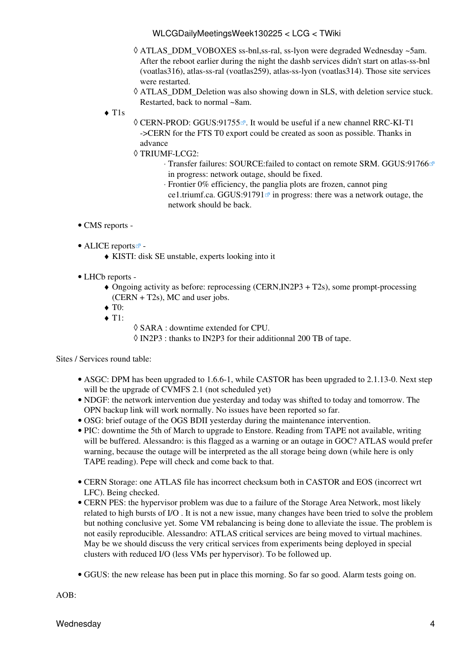#### WLCGDailyMeetingsWeek130225 < LCG < TWiki

- ATLAS\_DDM\_VOBOXES ss-bnl,ss-ral, ss-lyon were degraded Wednesday ~5am. ◊ After the reboot earlier during the night the dashb services didn't start on atlas-ss-bnl (voatlas316), atlas-ss-ral (voatlas259), atlas-ss-lyon (voatlas314). Those site services were restarted.
- ATLAS\_DDM\_Deletion was also showing down in SLS, with deletion service stuck. ◊ Restarted, back to normal ~8am.
- T1s ♦
- © CERN-PROD: [GGUS:91755](https://ggus.eu/ws/ticket_info.php?ticket=91755)<sup>®</sup>. It would be useful if a new channel RRC-KI-T1 ->CERN for the FTS T0 export could be created as soon as possible. Thanks in advance
- TRIUMF-LCG2: ◊
	- Transfer failures: SOURCE:failed to contact on remote SRM. [GGUS:91766](https://ggus.eu/ws/ticket_info.php?ticket=91766) ⋅ in progress: network outage, should be fixed.
	- Frontier 0% efficiency, the panglia plots are frozen, cannot ping ⋅
	- ce1.triumf.ca. [GGUS:91791](https://ggus.eu/ws/ticket_info.php?ticket=91791) $\sigma$  in progress: there was a network outage, the network should be back.
- CMS [reports](https://twiki.cern.ch/twiki/bin/view/CMS/FacOps_WLCGdailyreports) -
- ALICE [reports](http://alien2.cern.ch/index.php?option=com_content&view=article&id=75&Itemid=129)<sup>2</sup> -
	- ♦ KISTI: disk SE unstable, experts looking into it
- LHCb [reports](https://twiki.cern.ch/twiki/bin/view/LHCb/ProductionOperationsWLCGdailyReports) -
	- Ongoing activity as before: reprocessing (CERN,IN2P3 + T2s), some prompt-processing ♦ (CERN + T2s), MC and user jobs.
	- $\blacktriangleright$  T0:
	- $\triangleleft$  T1:
- ◊ SARA : downtime extended for CPU.
- ◊ [IN2P3](https://twiki.cern.ch/twiki/bin/view/LCG/IN2P3) : thanks to [IN2P3](https://twiki.cern.ch/twiki/bin/view/LCG/IN2P3) for their additionnal 200 TB of tape.

Sites / Services round table:

- ASGC: DPM has been upgraded to 1.6.6-1, while CASTOR has been upgraded to 2.1.13-0. Next step will be the upgrade of CVMFS 2.1 (not scheduled yet)
- NDGF: the network intervention due yesterday and today was shifted to today and tomorrow. The OPN backup link will work normally. No issues have been reported so far.
- OSG: brief outage of the OGS BDII yesterday during the maintenance intervention.
- PIC: downtime the 5th of March to upgrade to Enstore. Reading from TAPE not available, writing will be buffered. Alessandro: is this flagged as a warning or an outage in GOC? ATLAS would prefer warning, because the outage will be interpreted as the all storage being down (while here is only TAPE reading). Pepe will check and come back to that.
- CERN Storage: one ATLAS file has incorrect checksum both in CASTOR and EOS (incorrect wrt LFC). Being checked.
- CERN PES: the hypervisor problem was due to a failure of the Storage Area Network, most likely related to high bursts of I/O . It is not a new issue, many changes have been tried to solve the problem but nothing conclusive yet. Some VM rebalancing is being done to alleviate the issue. The problem is not easily reproducible. Alessandro: ATLAS critical services are being moved to virtual machines. May be we should discuss the very critical services from experiments being deployed in special clusters with reduced I/O (less VMs per hypervisor). To be followed up.
- GGUS: the new release has been put in place this morning. So far so good. Alarm tests going on.

AOB: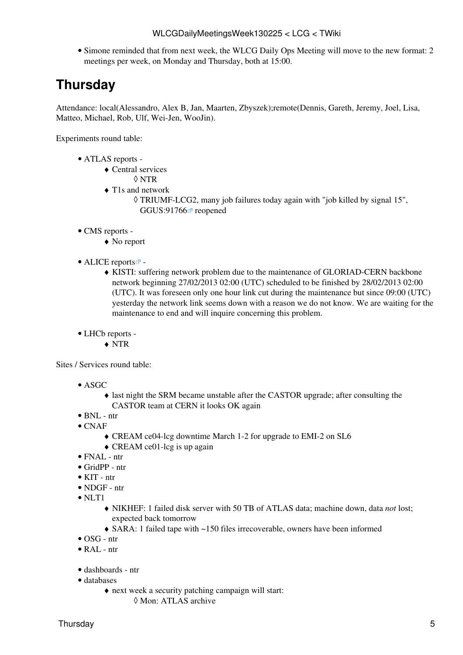• Simone reminded that from next week, the WLCG Daily Ops Meeting will move to the new format: 2 meetings per week, on Monday and Thursday, both at 15:00.

# <span id="page-5-0"></span>**Thursday**

Attendance: local(Alessandro, Alex B, Jan, Maarten, Zbyszek);remote(Dennis, Gareth, Jeremy, Joel, Lisa, Matteo, Michael, Rob, Ulf, Wei-Jen, [WooJin\)](https://twiki.cern.ch/twiki/bin/edit/LCG/WooJin?topicparent=LCG.WLCGDailyMeetingsWeek130225;nowysiwyg=1).

Experiments round table:

- ATLAS [reports](https://twiki.cern.ch/twiki/bin/view/Atlas/ADCOperationsDailyReports)  •
	- Central services ♦
		- ◊ NTR
	- T1s and network ♦
		- TRIUMF-LCG2, many job failures today again with "job killed by signal 15", ◊ [GGUS:91766](https://ggus.eu/ws/ticket_info.php?ticket=91766) <sup>a</sup> reopened
- CMS [reports](https://twiki.cern.ch/twiki/bin/view/CMS/FacOps_WLCGdailyreports) -
	- ♦ No report
- ALICE [reports](http://alien2.cern.ch/index.php?option=com_content&view=article&id=75&Itemid=129)
	- KISTI: suffering network problem due to the maintenance of GLORIAD-CERN backbone ♦ network beginning 27/02/2013 02:00 (UTC) scheduled to be finished by 28/02/2013 02:00 (UTC). It was foreseen only one hour link cut during the maintenance but since 09:00 (UTC) yesterday the network link seems down with a reason we do not know. We are waiting for the maintenance to end and will inquire concerning this problem.

• LHCb [reports](https://twiki.cern.ch/twiki/bin/view/LHCb/ProductionOperationsWLCGdailyReports) -

♦ NTR

Sites / Services round table:

- ASGC
	- last night the SRM became unstable after the CASTOR upgrade; after consulting the ♦ CASTOR team at CERN it looks OK again
- BNL ntr
- CNAF
	- ♦ [CREAM](https://twiki.cern.ch/twiki/bin/view/LCG/CREAM) ce04-lcg downtime March 1-2 for upgrade to EMI-2 on SL6
	- ♦ [CREAM](https://twiki.cern.ch/twiki/bin/view/LCG/CREAM) ce01-lcg is up again
- $\bullet$  FNAL ntr
- [GridPP](https://twiki.cern.ch/twiki/bin/view/LCG/GridPP) ntr
- KIT ntr
- NDGF ntr
- $\bullet$  NLT1
	- NIKHEF: 1 failed disk server with 50 TB of ATLAS data; machine down, data *not* lost; ♦ expected back tomorrow
	- ♦ SARA: 1 failed tape with ~150 files irrecoverable, owners have been informed
- OSG ntr
- [RAL](https://twiki.cern.ch/twiki/bin/view/LCG/RAL) ntr
- dashboards ntr
- databases
	- next week a security patching campaign will start: ♦ ◊ Mon: ATLAS archive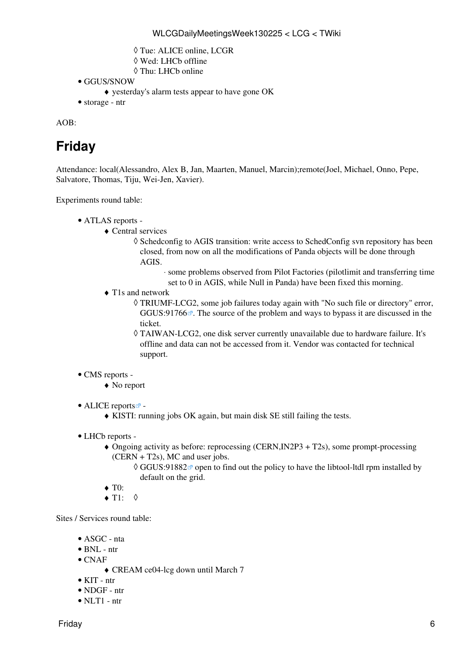- ◊ Tue: ALICE online, LCGR
- ◊ Wed: LHCb offline
- ◊ Thu: LHCb online
- GGUS/SNOW
	- ♦ yesterday's alarm tests appear to have gone OK
- storage ntr

AOB:

# <span id="page-6-0"></span>**Friday**

Attendance: local(Alessandro, Alex B, Jan, Maarten, Manuel, Marcin);remote(Joel, Michael, Onno, Pepe, Salvatore, Thomas, Tiju, Wei-Jen, Xavier).

Experiments round table:

- ATLAS [reports](https://twiki.cern.ch/twiki/bin/view/Atlas/ADCOperationsDailyReports)  •
	- Central services ♦
		- ◊ Schedconfig to AGIS transition: write access to [SchedConfig](https://twiki.cern.ch/twiki/bin/edit/LCG/SchedConfig?topicparent=LCG.WLCGDailyMeetingsWeek130225;nowysiwyg=1) svn repository has been closed, from now on all the modifications of Panda objects will be done through AGIS.
			- some problems observed from Pilot Factories (pilotlimit and transferring time ⋅ set to 0 in AGIS, while Null in Panda) have been fixed this morning.
	- T1s and network ♦
		- TRIUMF-LCG2, some job failures today again with "No such file or directory" error, ◊ [GGUS:91766](https://ggus.eu/ws/ticket_info.php?ticket=91766) $\Phi$ . The source of the problem and ways to bypass it are discussed in the ticket.
		- TAIWAN-LCG2, one disk server currently unavailable due to hardware failure. It's ◊ offline and data can not be accessed from it. Vendor was contacted for technical support.

#### • CMS [reports](https://twiki.cern.ch/twiki/bin/view/CMS/FacOps_WLCGdailyreports) -

♦ No report

• ALICE [reports](http://alien2.cern.ch/index.php?option=com_content&view=article&id=75&Itemid=129)

- ♦ KISTI: running jobs OK again, but main disk SE still failing the tests.
- LHCb [reports](https://twiki.cern.ch/twiki/bin/view/LHCb/ProductionOperationsWLCGdailyReports) -
	- Ongoing activity as before: reprocessing (CERN,IN2P3 + T2s), some prompt-processing ♦ (CERN + T2s), MC and user jobs.
		- ◊ [GGUS:91882](https://ggus.eu/ws/ticket_info.php?ticket=91882) ø open to find out the policy to have the libtool-ltdl rpm installed by default on the grid.
	- ◆ T<sub>0</sub>:
	- $\blacklozenge$  T1:  $\blacklozenge$

Sites / Services round table:

- ASGC nta
- BNL ntr
- $\bullet$  CNAF
	- ♦ [CREAM](https://twiki.cern.ch/twiki/bin/view/LCG/CREAM) ce04-lcg down until March 7
- KIT ntr
- NDGF ntr
- NLT1 ntr